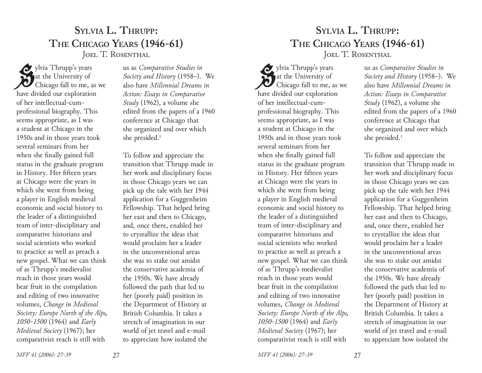## **Sylvia L. Thrupp: The Chicago Years (1946-61)** JOEL T. ROSENTHAL

ylvia Thrupp's years<br>
at the University of<br>
Chicago fall to me, as we at the University of have divided our exploration of her intellectual-cumprofessional biography. This seems appropriate, as I was a student at Chicago in the 1950s and in those years took several seminars from her when she finally gained full status in the graduate program in History. Her fifteen years at Chicago were the years in which she went from being a player in English medieval economic and social history to the leader of a distinguished team of inter-disciplinary and comparative historians and social scientists who worked to practice as well as preach a new gospel. What we can think of as Thrupp's medievalist reach in those years would bear fruit in the compilation and editing of two innovative volumes, *Change in Medieval Society: Europe North of the Alps, 1050-1500* (1964) and *Early Medieval Society* (1967); her comparativist reach is still with

us as *Comparative Studies in Society and History* (1958–). We also have *Millennial Dreams in Action: Essays in Comparative Study* (1962), a volume she edited from the papers of a 1960 conference at Chicago that she organized and over which she presided.1

To follow and appreciate the transition that Thrupp made in her work and disciplinary focus in those Chicago years we can pick up the tale with her 1944 application for a Guggenheim Fellowship. That helped bring her east and then to Chicago, and, once there, enabled her to crystallize the ideas that would proclaim her a leader in the unconventional areas she was to stake out amidst the conservative academia of the 1950s. We have already followed the path that led to her (poorly paid) position in the Department of History at British Columbia. It takes a stretch of imagination in our world of jet travel and e-mail to appreciate how isolated the

*MFF 41 (2006): 27-39* 27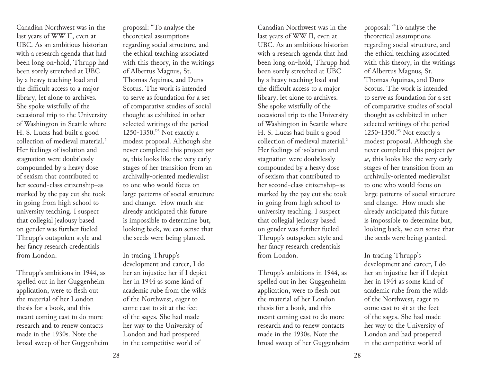Canadian Northwest was in the last years of WW II, even at UBC. As an ambitious historian with a research agenda that had been long on-hold, Thrupp had been sorely stretched at UBC by a heavy teaching load and the difficult access to a major library, let alone to archives. She spoke wistfully of the occasional trip to the University of Washington in Seattle where H. S. Lucas had built a good collection of medieval material.2 Her feelings of isolation and stagnation were doubtlessly compounded by a heavy dose of sexism that contributed to her second-class citizenship–as marked by the pay cut she took in going from high school to university teaching. I suspect that collegial jealousy based on gender was further fueled Thrupp's outspoken style and her fancy research credentials from London.

Thrupp's ambitions in 1944, as spelled out in her Guggenheim application, were to flesh out the material of her London thesis for a book, and this meant coming east to do more research and to renew contacts made in the 1930s. Note the broad sweep of her Guggenheim proposal: "To analyse the theoretical assumptions regarding social structure, and the ethical teaching associated with this theory, in the writings of Albertus Magnus, St. Thomas Aquinas, and Duns Scotus. The work is intended to serve as foundation for a set of comparative studies of social thought as exhibited in other selected writings of the period 1250-1350."3 Not exactly a modest proposal. Although she never completed this project *per se*, this looks like the very early stages of her transition from an archivally-oriented medievalist to one who would focus on large patterns of social structure and change. How much she already anticipated this future is impossible to determine but, looking back, we can sense that the seeds were being planted.

In tracing Thrupp's development and career, I do her an injustice her if I depict her in 1944 as some kind of academic rube from the wilds of the Northwest, eager to come east to sit at the feet of the sages. She had made her way to the University of London and had prospered in the competitive world of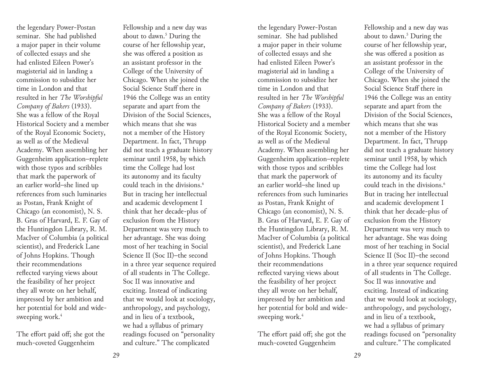the legendary Power-Postan seminar. She had published a major paper in their volume of collected essays and she had enlisted Eileen Power's magisterial aid in landing a commission to subsidize her time in London and that resulted in her *The Worshipful Company of Bakers* (1933). She was a fellow of the Royal Historical Society and a member of the Royal Economic Society, as well as of the Medieval Academy. When assembling her Guggenheim application–replete with those typos and scribbles that mark the paperwork of an earlier world–she lined up references from such luminaries as Postan, Frank Knight of Chicago (an economist), N. S. B. Gras of Harvard, E. F. Gay of the Huntingdon Library, R. M. MacIver of Columbia (a political scientist), and Frederick Lane of Johns Hopkins. Though their recommendations reflected varying views about the feasibility of her project they all wrote on her behalf, impressed by her ambition and her potential for bold and widesweeping work.<sup>4</sup>

The effort paid off; she got the much-coveted Guggenheim

Fellowship and a new day was about to dawn.<sup>5</sup> During the course of her fellowship year, she was offered a position as an assistant professor in the College of the University of Chicago. When she joined the Social Science Staff there in 1946 the College was an entity separate and apart from the Division of the Social Sciences, which means that she was not a member of the History Department. In fact, Thrupp did not teach a graduate history seminar until 1958, by which time the College had lost its autonomy and its faculty could teach in the divisions.<sup>6</sup> But in tracing her intellectual and academic development I think that her decade-plus of exclusion from the History Department was very much to her advantage. She was doing most of her teaching in Social Science II (Soc II)–the second in a three year sequence required of all students in The College. Soc II was innovative and exciting. Instead of indicating that we would look at sociology, anthropology, and psychology, and in lieu of a textbook, we had a syllabus of primary readings focused on "personality and culture." The complicated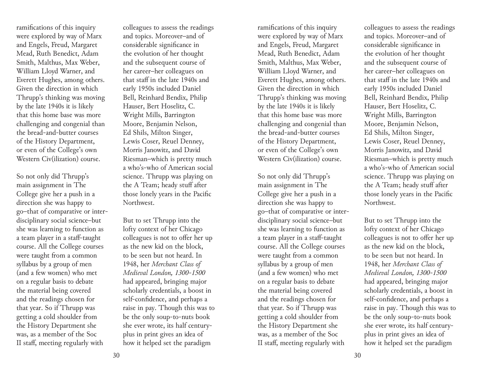ramifications of this inquiry were explored by way of Marx and Engels, Freud, Margaret Mead, Ruth Benedict, Adam Smith, Malthus, Max Weber, William Lloyd Warner, and Everett Hughes, among others. Given the direction in which Thrupp's thinking was moving by the late 1940s it is likely that this home base was more challenging and congenial than the bread-and-butter courses of the History Department, or even of the College's own Western Civ(ilization) course.

So not only did Thrupp's main assignment in The College give her a push in a direction she was happy to go–that of comparative or interdisciplinary social science–but she was learning to function as a team player in a staff-taught course. All the College courses were taught from a common syllabus by a group of men (and a few women) who met on a regular basis to debate the material being covered and the readings chosen for that year. So if Thrupp was getting a cold shoulder from the History Department she was, as a member of the Soc II staff, meeting regularly with

colleagues to assess the readings and topics. Moreover–and of considerable significance in the evolution of her thought and the subsequent course of her career–her colleagues on that staff in the late 1940s and early 1950s included Daniel Bell, Reinhard Bendix, Philip Hauser, Bert Hoselitz, C. Wright Mills, Barrington Moore, Benjamin Nelson, Ed Shils, Milton Singer, Lewis Coser, Reuel Denney, Morris Janowitz, and David Riesman–which is pretty much a who's-who of American social science. Thrupp was playing on the A Team; heady stuff after those lonely years in the Pacific Northwest.

But to set Thrupp into the lofty context of her Chicago colleagues is not to offer her up as the new kid on the block, to be seen but not heard. In 1948, her *Merchant Class of Medieval London, 1300-1500*  had appeared, bringing major scholarly credentials, a boost in self-confidence, and perhaps a raise in pay. Though this was to be the only soup-to-nuts book she ever wrote, its half centuryplus in print gives an idea of how it helped set the paradigm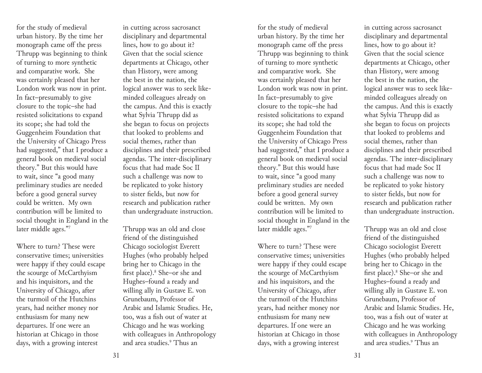for the study of medieval urban history. By the time her monograph came off the press Thrupp was beginning to think of turning to more synthetic and comparative work. She was certainly pleased that her London work was now in print. In fact–presumably to give closure to the topic–she had resisted solicitations to expand its scope; she had told the Guggenheim Foundation that the University of Chicago Press had suggested," that I produce a general book on medieval social theory." But this would have to wait, since "a good many preliminary studies are needed before a good general survey could be written. My own contribution will be limited to social thought in England in the later middle ages."7

Where to turn? These were conservative times; universities were happy if they could escape the scourge of McCarthyism and his inquisitors, and the University of Chicago, after the turmoil of the Hutchins years, had neither money nor enthusiasm for many new departures. If one were an historian at Chicago in those days, with a growing interest

in cutting across sacrosanct disciplinary and departmental lines, how to go about it? Given that the social science departments at Chicago, other than History, were among the best in the nation, the logical answer was to seek likeminded colleagues already on the campus. And this is exactly what Sylvia Thrupp did as she began to focus on projects that looked to problems and social themes, rather than disciplines and their prescribed agendas. The inter-disciplinary focus that had made Soc II such a challenge was now to be replicated to yoke history to sister fields, but now for research and publication rather than undergraduate instruction.

Thrupp was an old and close friend of the distinguished Chicago sociologist Everett Hughes (who probably helped bring her to Chicago in the first place).8 She–or she and Hughes–found a ready and willing ally in Gustave E. von Grunebaum, Professor of Arabic and Islamic Studies. He, too, was a fish out of water at Chicago and he was working with colleagues in Anthropology and area studies.9 Thus an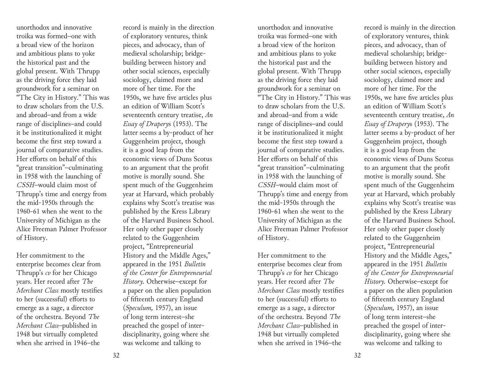unorthodox and innovative troika was formed–one with a broad view of the horizon and ambitious plans to yoke the historical past and the global present. With Thrupp as the driving force they laid groundwork for a seminar on "The City in History." This was to draw scholars from the U.S. and abroad–and from a wide range of disciplines–and could it be institutionalized it might become the first step toward a journal of comparative studies. Her efforts on behalf of this "great transition"–culminating in 1958 with the launching of *CSSH*–would claim most of Thrupp's time and energy from the mid-1950s through the 1960-61 when she went to the University of Michigan as the Alice Freeman Palmer Professor of History.

Her commitment to the enterprise becomes clear from Thrupp's *cv* for her Chicago years. Her record after *The Merchant Class* mostly testifies to her (successful) efforts to emerge as a sage, a director of the orchestra. Beyond *The Merchant Class*–published in 1948 but virtually completed when she arrived in 1946–the

record is mainly in the direction of exploratory ventures, think pieces, and advocacy, than of medieval scholarship; bridgebuilding between history and other social sciences, especially sociology, claimed more and more of her time. For the 1950s, we have five articles plus an edition of William Scott's seventeenth century treatise, *An Essay of Drapery*s (1953). The latter seems a by-product of her Guggenheim project, though it is a good leap from the economic views of Duns Scotus to an argument that the profit motive is morally sound. She spent much of the Guggenheim year at Harvard, which probably explains why Scott's treatise was published by the Kress Library of the Harvard Business School. Her only other paper closely related to the Guggenheim project, "Entrepreneurial History and the Middle Ages," appeared in the 1951 *Bulletin of the Center for Entrepreneurial History.* Otherwise–except for a paper on the alien population of fifteenth century England (*Speculum,* 1957), an issue of long term interest–she preached the gospel of interdisciplinarity, going where she was welcome and talking to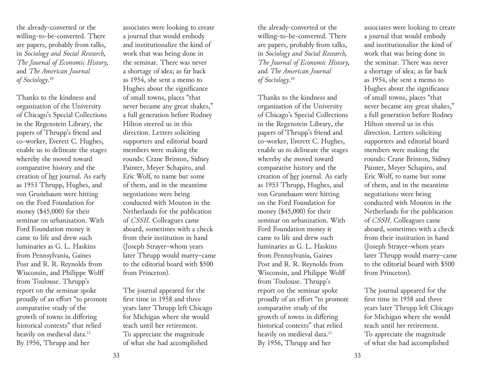the already-converted or the willing-to-be-converted. There are papers, probably from talks, in *Sociology and Social Research, The Journal of Economic History,*  and *The American Journal of Sociology*. 10

Thanks to the kindness and organization of the University of Chicago's Special Collections in the Regenstein Library, the papers of Thrupp's friend and co-worker, Everett C. Hughes, enable us to delineate the stages whereby she moved toward comparative history and the creation of her journal. As early as 1953 Thrupp, Hughes, and von Grunebaum were hitting on the Ford Foundation for money (\$45,000) for their seminar on urbanization. With Ford Foundation money it came to life and drew such luminaries as G. L. Haskins from Pennsylvania, Gaines Post and R. R. Reynolds from Wisconsin, and Philippe Wolff from Toulouse. Thrupp's report on the seminar spoke proudly of an effort "to promote comparative study of the growth of towns in differing historical contexts" that relied heavily on medieval data.<sup>11</sup> By 1956, Thrupp and her

associates were looking to create a journal that would embody and institutionalize the kind of work that was being done in the seminar. There was never a shortage of idea; as far back as 1954, she sent a memo to Hughes about the significance of small towns, places "that never became any great shakes," a full generation before Rodney Hilton steered us in this direction. Letters soliciting supporters and editorial board members were making the rounds: Crane Brinton, Sidney Painter, Meyer Schapiro, and Eric Wolf, to name but some of them, and in the meantime negotiations were being conducted with Mouton in the Netherlands for the publication of *CSSH.* Colleagues came aboard, sometimes with a check from their institution in hand (Joseph Strayer–whom years later Thrupp would marry–came to the editorial board with \$500 from Princeton).

The journal appeared for the first time in 1958 and three years later Thrupp left Chicago for Michigan where she would teach until her retirement. To appreciate the magnitude of what she had accomplished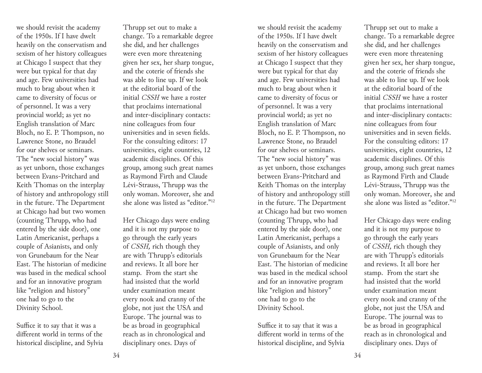we should revisit the academy of the 1950s. If I have dwelt heavily on the conservatism and sexism of her history colleagues at Chicago I suspect that they were but typical for that day and age. Few universities had much to brag about when it came to diversity of focus or of personnel. It was a very provincial world; as yet no English translation of Marc Bloch, no E. P. Thompson, no Lawrence Stone, no Braudel for our shelves or seminars. The "new social history" was as yet unborn, those exchanges between Evans-Pritchard and Keith Thomas on the interplay of history and anthropology still in the future. The Department at Chicago had but two women (counting Thrupp, who had entered by the side door), one Latin Americanist, perhaps a couple of Asianists, and only von Grunebaum for the Near East. The historian of medicine was based in the medical school and for an innovative program like "religion and history" one had to go to the Divinity School.

Suffice it to say that it was a different world in terms of the historical discipline, and Sylvia Thrupp set out to make a change. To a remarkable degree she did, and her challenges were even more threatening given her sex, her sharp tongue, and the coterie of friends she was able to line up. If we look at the editorial board of the initial *CSSH* we have a roster that proclaims international and inter-disciplinary contacts: nine colleagues from four universities and in seven fields. For the consulting editors: 17 universities, eight countries, 12 academic disciplines. Of this group, among such great names as Raymond Firth and Claude Lévi-Strauss, Thrupp was the only woman. Moreover, she and she alone was listed as "editor."12

Her Chicago days were ending and it is not my purpose to go through the early years of *CSSH,* rich though they are with Thrupp's editorials and reviews. It all bore her stamp. From the start she had insisted that the world under examination meant every nook and cranny of the globe, not just the USA and Europe. The journal was to be as broad in geographical reach as in chronological and disciplinary ones. Days of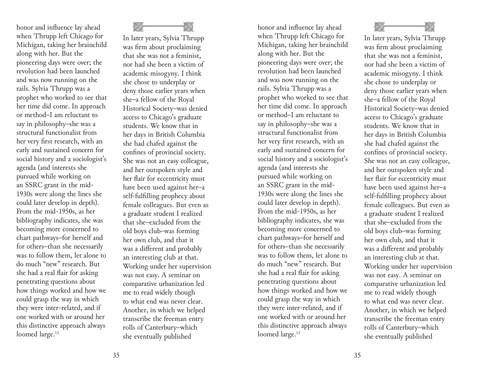honor and influence lay ahead when Thrupp left Chicago for Michigan, taking her brainchild along with her. But the pioneering days were over; the revolution had been launched and was now running on the rails. Sylvia Thrupp was a prophet who worked to see that her time did come. In approach or method–I am reluctant to say in philosophy–she was a structural functionalist from her very first research, with an early and sustained concern for social history and a sociologist's agenda (and interests she pursued while working on an SSRC grant in the mid-1930s were along the lines she could later develop in depth). From the mid-1950s, as her bibliography indicates, she was becoming more concerned to chart pathways–for herself and for others–than she necessarily was to follow them, let alone to do much "new" research. But she had a real flair for asking penetrating questions about how things worked and how we could grasp the way in which they were inter-related, and if one worked with or around her this distinctive approach always loomed large.<sup>13</sup>



In later years, Sylvia Thrupp was firm about proclaiming that she was not a feminist, nor had she been a victim of academic misogyny. I think she chose to underplay or deny those earlier years when she–a fellow of the Royal Historical Society–was denied access to Chicago's graduate students. We know that in her days in British Columbia she had chafed against the confines of provincial society. She was not an easy colleague, and her outspoken style and her flair for eccentricity must have been used against her–a self-fulfilling prophecy about female colleagues. But even as a graduate student I realized that she–excluded from the old boys club–was forming her own club, and that it was a different and probably an interesting club at that. Working under her supervision was not easy. A seminar on comparative urbanization led me to read widely though to what end was never clear. Another, in which we helped transcribe the freeman entry rolls of Canterbury–which she eventually published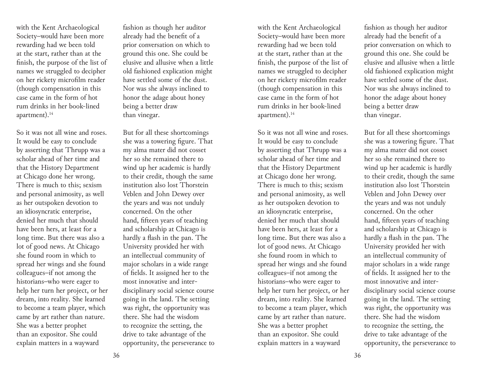with the Kent Archaeological Society–would have been more rewarding had we been told at the start, rather than at the finish, the purpose of the list of names we struggled to decipher on her rickety microfilm reader (though compensation in this case came in the form of hot rum drinks in her book-lined apartment).<sup>14</sup>

So it was not all wine and roses. It would be easy to conclude by asserting that Thrupp was a scholar ahead of her time and that the History Department at Chicago done her wrong. There is much to this; sexism and personal animosity, as well as her outspoken devotion to an idiosyncratic enterprise, denied her much that should have been hers, at least for a long time. But there was also a lot of good news. At Chicago she found room in which to spread her wings and she found colleagues–if not among the historians–who were eager to help her turn her project, or her dream, into reality. She learned to become a team player, which came by art rather than nature. She was a better prophet than an expositor. She could explain matters in a wayward

fashion as though her auditor already had the benefit of a prior conversation on which to ground this one. She could be elusive and allusive when a little old fashioned explication might have settled some of the dust. Nor was she always inclined to honor the adage about honey being a better draw than vinegar.

But for all these shortcomings she was a towering figure. That my alma mater did not cosset her so she remained there to wind up her academic is hardly to their credit, though the same institution also lost Thorstein Veblen and John Dewey over the years and was not unduly concerned. On the other hand, fifteen years of teaching and scholarship at Chicago is hardly a flash in the pan. The University provided her with an intellectual community of major scholars in a wide range of fields. It assigned her to the most innovative and interdisciplinary social science course going in the land. The setting was right, the opportunity was there. She had the wisdom to recognize the setting, the drive to take advantage of the opportunity, the perseverance to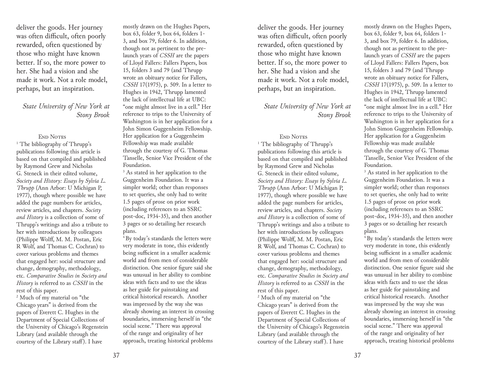deliver the goods. Her journey was often difficult, often poorly rewarded, often questioned by those who might have known better. If so, the more power to her. She had a vision and she made it work. Not a role model, perhaps, but an inspiration.

## *State University of New York at Stony Brook*

## END NOTES

<sup>1</sup> The bibliography of Thrupp's publications following this article is based on that compiled and published by Raymond Grew and Nicholas G. Steneck in their edited volume, *Society and History: Essays by Sylvia L. Thrupp* (Ann Arbor: U Michigan P, 1977), though where possible we have added the page numbers for articles, review articles, and chapters. *Society and History* is a collection of some of Thrupp's writings and also a tribute to her with introductions by colleagues (Philippe Wolff, M. M. Postan, Eric R Wolf, and Thomas C. Cochran) to cover various problems and themes that engaged her: social structure and change, demography, methodology, etc. *Comparative Studies in Society and History* is referred to as *CSSH* in the rest of this paper.

2 Much of my material on "the Chicago years" is derived from the papers of Everett C. Hughes in the Department of Special Collections of the University of Chicago's Regenstein Library (and available through the courtesy of the Library staff ). I have

mostly drawn on the Hughes Papers, box 63, folder 9, box 64, folders 1- 3, and box 79, folder 6. In addition, though not as pertinent to the prelaunch years of *CSSH* are the papers of Lloyd Fallers: Fallers Papers, box 15, folders 3 and 79 (and Thrupp wrote an obituary notice for Fallers, *CSSH* 17(1975), p. 509. In a letter to Hughes in 1942, Thrupp lamented the lack of intellectual life at UBC: "one might almost live in a cell." Her reference to trips to the University of Washington is in her application for a John Simon Guggenheim Fellowship. Her application for a Guggenheim Fellowship was made available through the courtesy of G. Thomas Tanselle, Senior Vice President of the Foundation.

<sup>3</sup> As stated in her application to the Guggenheim Foundation. It was a simpler world; other than responses to set queries, she only had to write 1.5 pages of prose on prior work (including references to an SSRC post-doc, 1934-35), and then another 3 pages or so detailing her research plans.

<sup>4</sup> By today's standards the letters were very moderate in tone, this evidently being sufficient in a smaller academic world and from men of considerable distinction. One senior figure said she was unusual in her ability to combine ideas with facts and to use the ideas as her guide for painstaking and critical historical research. Another was impressed by the way she was already showing an interest in crossing boundaries, immersing herself in "the social scene." There was approval of the range and originality of her approach, treating historical problems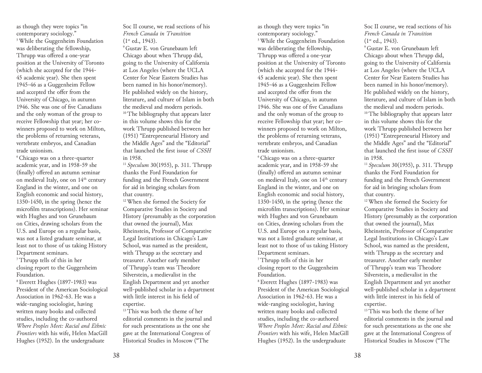as though they were topics "in contemporary sociology." <sup>5</sup> While the Guggenheim Foundation was deliberating the fellowship, Thrupp was offered a one-year position at the University of Toronto (which she accepted for the 1944- 45 academic year). She then spent 1945-46 as a Guggenheim Fellow and accepted the offer from the University of Chicago, in autumn 1946. She was one of five Canadians and the only woman of the group to receive Fellowship that year; her cowinners proposed to work on Milton, the problems of returning veterans, vertebrate embryos, and Canadian trade unionism.

6 Chicago was on a three-quarter academic year, and in 1958-59 she (finally) offered an autumn seminar on medieval Italy, one on 14<sup>th</sup> century England in the winter, and one on English economic and social history, 1350-1450, in the spring (hence the microfilm transcriptions). Her seminar with Hughes and von Grunebaum on Cities, drawing scholars from the U.S. and Europe on a regular basis, was not a listed graduate seminar, at least not to those of us taking History Department seminars.

7 Thrupp tells of this in her closing report to the Guggenheim Foundation.

8 Everett Hughes (1897-1983) was President of the American Sociological Association in 1962-63. He was a wide-ranging sociologist, having written many books and collected studies, including the co-authored *Where Peoples Meet: Racial and Ethnic Frontiers* with his wife, Helen MacGill Hughes (1952). In the undergraduate

Soc II course, we read sections of his *French Canada in Transition*  (1<sup>st</sup> ed., 1943).<br><sup>9</sup> Gustav E. von Grunebaum left

Chicago about when Thrupp did, going to the University of California at Los Angeles (where the UCLA Center for Near Eastern Studies has been named in his honor/memory). He published widely on the history, literature, and culture of Islam in both the medieval and modern periods. <sup>10</sup> The bibliography that appears later in this volume shows this for the work Thrupp published between her (1951) "Entrepreneurial History and the Middle Ages" and the "Editorial" that launched the first issue of *CSSH*  in 1958.

<sup>11</sup>*Speculum* 30(1955), p. 311. Thrupp thanks the Ford Foundation for funding and the French Government for aid in bringing scholars from that country.

12 When she formed the Society for Comparative Studies in Society and History (presumably as the corporation that owned the journal), Max Rheinstein, Professor of Comparative Legal Institutions in Chicago's Law School, was named as the president, with Thrupp as the secretary and treasurer. Another early member of Thrupp's team was Theodore Silverstein, a medievalist in the English Department and yet another well-published scholar in a department with little interest in his field of expertise.

<sup>13</sup> This was both the theme of her editorial comments in the journal and for such presentations as the one she gave at the International Congress of Historical Studies in Moscow ("The